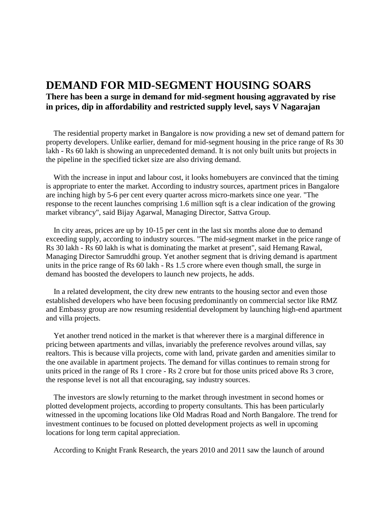## **DEMAND FOR MID-SEGMENT HOUSING SOARS There has been a surge in demand for mid-segment housing aggravated by rise in prices, dip in affordability and restricted supply level, says V Nagarajan**

The residential property market in Bangalore is now providing a new set of demand pattern for property developers. Unlike earlier, demand for mid-segment housing in the price range of Rs 30 lakh - Rs 60 lakh is showing an unprecedented demand. It is not only built units but projects in the pipeline in the specified ticket size are also driving demand.

With the increase in input and labour cost, it looks homebuyers are convinced that the timing is appropriate to enter the market. According to industry sources, apartment prices in Bangalore are inching high by 5-6 per cent every quarter across micro-markets since one year. "The response to the recent launches comprising 1.6 million sqft is a clear indication of the growing market vibrancy", said Bijay Agarwal, Managing Director, Sattva Group.

In city areas, prices are up by 10-15 per cent in the last six months alone due to demand exceeding supply, according to industry sources. "The mid-segment market in the price range of Rs 30 lakh - Rs 60 lakh is what is dominating the market at present", said Hemang Rawal, Managing Director Samruddhi group. Yet another segment that is driving demand is apartment units in the price range of Rs 60 lakh - Rs 1.5 crore where even though small, the surge in demand has boosted the developers to launch new projects, he adds.

In a related development, the city drew new entrants to the housing sector and even those established developers who have been focusing predominantly on commercial sector like RMZ and Embassy group are now resuming residential development by launching high-end apartment and villa projects.

Yet another trend noticed in the market is that wherever there is a marginal difference in pricing between apartments and villas, invariably the preference revolves around villas, say realtors. This is because villa projects, come with land, private garden and amenities similar to the one available in apartment projects. The demand for villas continues to remain strong for units priced in the range of Rs 1 crore - Rs 2 crore but for those units priced above Rs 3 crore, the response level is not all that encouraging, say industry sources.

The investors are slowly returning to the market through investment in second homes or plotted development projects, according to property consultants. This has been particularly witnessed in the upcoming locations like Old Madras Road and North Bangalore. The trend for investment continues to be focused on plotted development projects as well in upcoming locations for long term capital appreciation.

According to Knight Frank Research, the years 2010 and 2011 saw the launch of around